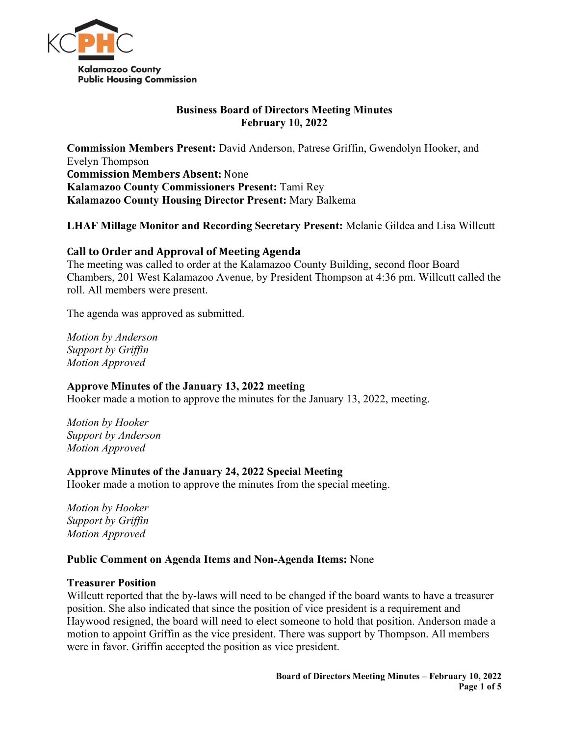

### **Business Board of Directors Meeting Minutes February 10, 2022**

**Commission Members Present:** David Anderson, Patrese Griffin, Gwendolyn Hooker, and Evelyn Thompson **Commission Members Absent:** None **Kalamazoo County Commissioners Present:** Tami Rey **Kalamazoo County Housing Director Present:** Mary Balkema

# **LHAF Millage Monitor and Recording Secretary Present:** Melanie Gildea and Lisa Willcutt

# **Call to Order and Approval of Meeting Agenda**

The meeting was called to order at the Kalamazoo County Building, second floor Board Chambers, 201 West Kalamazoo Avenue, by President Thompson at 4:36 pm. Willcutt called the roll. All members were present.

The agenda was approved as submitted.

*Motion by Anderson Support by Griffin Motion Approved*

# **Approve Minutes of the January 13, 2022 meeting**

Hooker made a motion to approve the minutes for the January 13, 2022, meeting.

*Motion by Hooker Support by Anderson Motion Approved*

# **Approve Minutes of the January 24, 2022 Special Meeting**

Hooker made a motion to approve the minutes from the special meeting.

*Motion by Hooker Support by Griffin Motion Approved*

# **Public Comment on Agenda Items and Non-Agenda Items:** None

#### **Treasurer Position**

Willcutt reported that the by-laws will need to be changed if the board wants to have a treasurer position. She also indicated that since the position of vice president is a requirement and Haywood resigned, the board will need to elect someone to hold that position. Anderson made a motion to appoint Griffin as the vice president. There was support by Thompson. All members were in favor. Griffin accepted the position as vice president.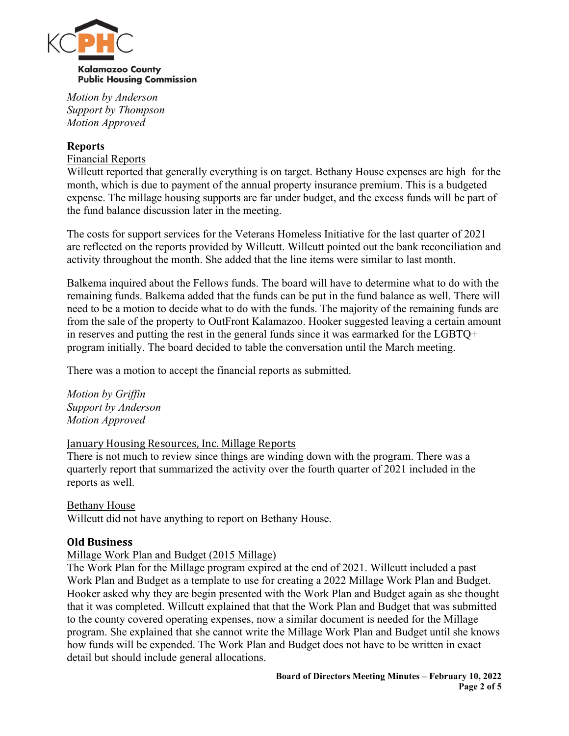

*Motion by Anderson Support by Thompson Motion Approved*

# **Reports**

Financial Reports

Willcutt reported that generally everything is on target. Bethany House expenses are high for the month, which is due to payment of the annual property insurance premium. This is a budgeted expense. The millage housing supports are far under budget, and the excess funds will be part of the fund balance discussion later in the meeting.

The costs for support services for the Veterans Homeless Initiative for the last quarter of 2021 are reflected on the reports provided by Willcutt. Willcutt pointed out the bank reconciliation and activity throughout the month. She added that the line items were similar to last month.

Balkema inquired about the Fellows funds. The board will have to determine what to do with the remaining funds. Balkema added that the funds can be put in the fund balance as well. There will need to be a motion to decide what to do with the funds. The majority of the remaining funds are from the sale of the property to OutFront Kalamazoo. Hooker suggested leaving a certain amount in reserves and putting the rest in the general funds since it was earmarked for the LGBTQ+ program initially. The board decided to table the conversation until the March meeting.

There was a motion to accept the financial reports as submitted.

*Motion by Griffin Support by Anderson Motion Approved*

#### January Housing Resources, Inc. Millage Reports

There is not much to review since things are winding down with the program. There was a quarterly report that summarized the activity over the fourth quarter of 2021 included in the reports as well.

#### Bethany House

Willcutt did not have anything to report on Bethany House.

#### **Old Business**

# Millage Work Plan and Budget (2015 Millage)

The Work Plan for the Millage program expired at the end of 2021. Willcutt included a past Work Plan and Budget as a template to use for creating a 2022 Millage Work Plan and Budget. Hooker asked why they are begin presented with the Work Plan and Budget again as she thought that it was completed. Willcutt explained that that the Work Plan and Budget that was submitted to the county covered operating expenses, now a similar document is needed for the Millage program. She explained that she cannot write the Millage Work Plan and Budget until she knows how funds will be expended. The Work Plan and Budget does not have to be written in exact detail but should include general allocations.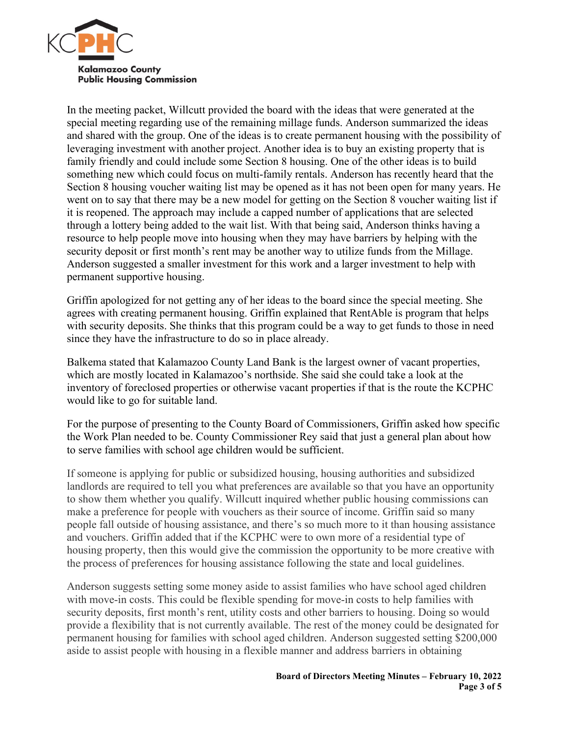

In the meeting packet, Willcutt provided the board with the ideas that were generated at the special meeting regarding use of the remaining millage funds. Anderson summarized the ideas and shared with the group. One of the ideas is to create permanent housing with the possibility of leveraging investment with another project. Another idea is to buy an existing property that is family friendly and could include some Section 8 housing. One of the other ideas is to build something new which could focus on multi-family rentals. Anderson has recently heard that the Section 8 housing voucher waiting list may be opened as it has not been open for many years. He went on to say that there may be a new model for getting on the Section 8 voucher waiting list if it is reopened. The approach may include a capped number of applications that are selected through a lottery being added to the wait list. With that being said, Anderson thinks having a resource to help people move into housing when they may have barriers by helping with the security deposit or first month's rent may be another way to utilize funds from the Millage. Anderson suggested a smaller investment for this work and a larger investment to help with permanent supportive housing.

Griffin apologized for not getting any of her ideas to the board since the special meeting. She agrees with creating permanent housing. Griffin explained that RentAble is program that helps with security deposits. She thinks that this program could be a way to get funds to those in need since they have the infrastructure to do so in place already.

Balkema stated that Kalamazoo County Land Bank is the largest owner of vacant properties, which are mostly located in Kalamazoo's northside. She said she could take a look at the inventory of foreclosed properties or otherwise vacant properties if that is the route the KCPHC would like to go for suitable land.

For the purpose of presenting to the County Board of Commissioners, Griffin asked how specific the Work Plan needed to be. County Commissioner Rey said that just a general plan about how to serve families with school age children would be sufficient.

If someone is applying for public or subsidized housing, housing authorities and subsidized landlords are required to tell you what preferences are available so that you have an opportunity to show them whether you qualify. Willcutt inquired whether public housing commissions can make a preference for people with vouchers as their source of income. Griffin said so many people fall outside of housing assistance, and there's so much more to it than housing assistance and vouchers. Griffin added that if the KCPHC were to own more of a residential type of housing property, then this would give the commission the opportunity to be more creative with the process of preferences for housing assistance following the state and local guidelines.

Anderson suggests setting some money aside to assist families who have school aged children with move-in costs. This could be flexible spending for move-in costs to help families with security deposits, first month's rent, utility costs and other barriers to housing. Doing so would provide a flexibility that is not currently available. The rest of the money could be designated for permanent housing for families with school aged children. Anderson suggested setting \$200,000 aside to assist people with housing in a flexible manner and address barriers in obtaining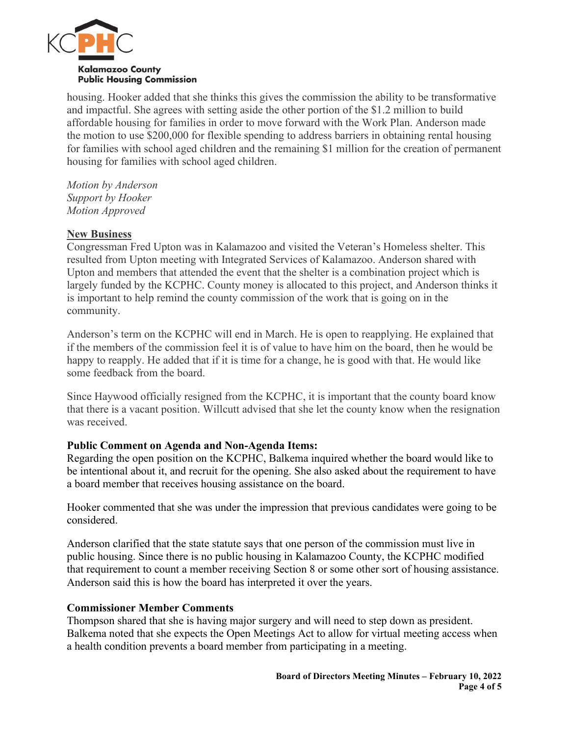

housing. Hooker added that she thinks this gives the commission the ability to be transformative and impactful. She agrees with setting aside the other portion of the \$1.2 million to build affordable housing for families in order to move forward with the Work Plan. Anderson made the motion to use \$200,000 for flexible spending to address barriers in obtaining rental housing for families with school aged children and the remaining \$1 million for the creation of permanent housing for families with school aged children.

*Motion by Anderson Support by Hooker Motion Approved*

### **New Business**

Congressman Fred Upton was in Kalamazoo and visited the Veteran's Homeless shelter. This resulted from Upton meeting with Integrated Services of Kalamazoo. Anderson shared with Upton and members that attended the event that the shelter is a combination project which is largely funded by the KCPHC. County money is allocated to this project, and Anderson thinks it is important to help remind the county commission of the work that is going on in the community.

Anderson's term on the KCPHC will end in March. He is open to reapplying. He explained that if the members of the commission feel it is of value to have him on the board, then he would be happy to reapply. He added that if it is time for a change, he is good with that. He would like some feedback from the board.

Since Haywood officially resigned from the KCPHC, it is important that the county board know that there is a vacant position. Willcutt advised that she let the county know when the resignation was received.

# **Public Comment on Agenda and Non-Agenda Items:**

Regarding the open position on the KCPHC, Balkema inquired whether the board would like to be intentional about it, and recruit for the opening. She also asked about the requirement to have a board member that receives housing assistance on the board.

Hooker commented that she was under the impression that previous candidates were going to be considered.

Anderson clarified that the state statute says that one person of the commission must live in public housing. Since there is no public housing in Kalamazoo County, the KCPHC modified that requirement to count a member receiving Section 8 or some other sort of housing assistance. Anderson said this is how the board has interpreted it over the years.

#### **Commissioner Member Comments**

Thompson shared that she is having major surgery and will need to step down as president. Balkema noted that she expects the Open Meetings Act to allow for virtual meeting access when a health condition prevents a board member from participating in a meeting.